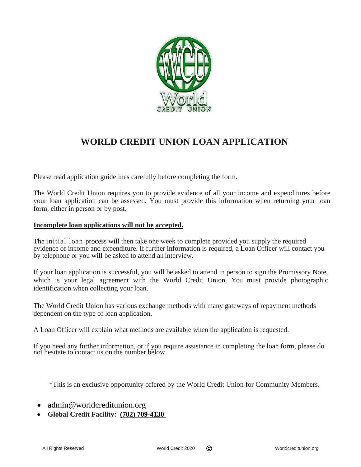

# **WORLD CREDIT UNION LOAN APPLICATION**

Please read application guidelines carefully before completing the form.

The World Credit Union requires you to provide evidence of all your income and expenditures before your loan application can be assessed. You must provide this information when returning your loan form, either in person or by post.

## **Incomplete loan applications will not be accepted.**

The initial loan process will then take one week to complete provided you supply the required evidence of income and expenditure. If further information is required, a Loan Officer will contact you by telephone or you will be asked to attend an interview.

If your loan application is successful, you will be asked to attend in person to sign the Promissory Note, which is your legal agreement with the World Credit Union. You must provide photographic identification when collecting your loan.

The World Credit Union has various exchange methods with many gateways of repayment methods dependent on the type of loan application.

A Loan Officer will explain what methods are available when the application is requested.

If you need any further information, or if you require assistance in completing the loan form, please do not hesitate to contact us on the number below.

\*This is an exclusive opportunity offered by the World Credit Union for Community Members.

- admin@worldcreditunion.org
- **Global Credit Facility: (702) 709-4130**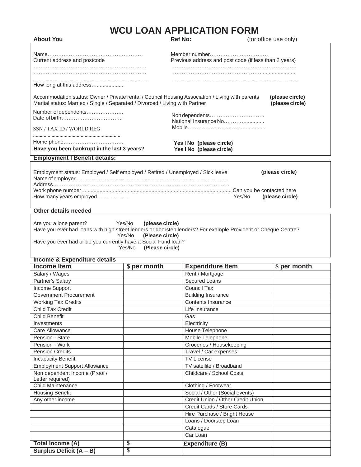# **WCU LOAN APPLICATION FORM**

| <b>About You</b>                                                                                                                                                                                  |                                                        | <b>Ref No:</b>                                                         | (for office use only)              |
|---------------------------------------------------------------------------------------------------------------------------------------------------------------------------------------------------|--------------------------------------------------------|------------------------------------------------------------------------|------------------------------------|
| Current address and postcode                                                                                                                                                                      |                                                        | Member number<br>Previous address and post code (if less than 2 years) |                                    |
| How long at this address                                                                                                                                                                          |                                                        |                                                                        |                                    |
| Accommodation status: Owner / Private rental / Council Housing Association / Living with parents<br>Marital status: Married / Single / Separated / Divorced / Living with Partner                 |                                                        |                                                                        | (please circle)<br>(please circle) |
| Number of dependents                                                                                                                                                                              |                                                        | Non dependents<br>National Insurance No                                |                                    |
| SSN / TAX ID / WORLD REG                                                                                                                                                                          |                                                        |                                                                        |                                    |
| Have you been bankrupt in the last 3 years?                                                                                                                                                       |                                                        | Yes I No (please circle)<br>Yes I No (please circle)                   |                                    |
| <b>Employment I Benefit details:</b>                                                                                                                                                              |                                                        |                                                                        |                                    |
| How many years employed<br><b>Other details needed</b><br>Are you a lone parent?<br>Have you ever had loans with high street lenders or doorstep lenders? For example Provident or Cheque Centre? | Yes/No<br>(please circle)<br>Yes/No<br>(Please circle) | Yes/No                                                                 | (please circle)                    |
| Have you ever had or do you currently have a Social Fund loan?                                                                                                                                    | Yes/No<br>(Please circle)                              |                                                                        |                                    |
| <b>Income &amp; Expenditure details</b>                                                                                                                                                           |                                                        |                                                                        |                                    |
| <b>Income Item</b>                                                                                                                                                                                | \$ per month                                           | <b>Expenditure Item</b>                                                | \$ per month                       |
| Salary / Wages                                                                                                                                                                                    |                                                        | Rent / Mortgage                                                        |                                    |
| Partner's Salary                                                                                                                                                                                  |                                                        | <b>Secured Loans</b><br><b>Council Tax</b>                             |                                    |
| <b>Income Support</b><br><b>Government Procurement</b>                                                                                                                                            |                                                        | <b>Building Insurance</b>                                              |                                    |
| <b>Working Tax Credits</b>                                                                                                                                                                        |                                                        | Contents Insurance                                                     |                                    |
| <b>Child Tax Credit</b>                                                                                                                                                                           |                                                        | Life Insurance                                                         |                                    |
| <b>Child Benefit</b>                                                                                                                                                                              |                                                        | Gas                                                                    |                                    |
| Investments                                                                                                                                                                                       |                                                        | Electricity                                                            |                                    |
| Care Allowance                                                                                                                                                                                    |                                                        | <b>House Telephone</b>                                                 |                                    |
| Pension - State                                                                                                                                                                                   |                                                        | Mobile Telephone                                                       |                                    |
| Pension - Work                                                                                                                                                                                    |                                                        | Groceries / Housekeeping                                               |                                    |
| <b>Pension Credits</b>                                                                                                                                                                            |                                                        | Travel / Car expenses                                                  |                                    |
| <b>Incapacity Benefit</b>                                                                                                                                                                         |                                                        | <b>TV License</b>                                                      |                                    |
| <b>Employment Support Allowance</b>                                                                                                                                                               |                                                        | TV satellite / Broadband                                               |                                    |
| Non dependent Income (Proof /                                                                                                                                                                     |                                                        | Childcare / School Costs                                               |                                    |
| Letter required)<br><b>Child Maintenance</b>                                                                                                                                                      |                                                        | Clothing / Footwear                                                    |                                    |
| <b>Housing Benefit</b>                                                                                                                                                                            |                                                        | Social / Other (Social events)                                         |                                    |
| Any other income                                                                                                                                                                                  |                                                        | Credit Union / Other Credit Union                                      |                                    |
|                                                                                                                                                                                                   |                                                        | Credit Cards / Store Cards                                             |                                    |
|                                                                                                                                                                                                   |                                                        | Hire Purchase / Bright House                                           |                                    |
|                                                                                                                                                                                                   |                                                        | Loans / Doorstep Loan                                                  |                                    |
|                                                                                                                                                                                                   |                                                        |                                                                        |                                    |
|                                                                                                                                                                                                   |                                                        | Catalogue                                                              |                                    |
|                                                                                                                                                                                                   |                                                        | Car Loan                                                               |                                    |
| <b>Total Income (A)</b>                                                                                                                                                                           | \$                                                     | <b>Expenditure (B)</b>                                                 |                                    |

**Surplus Deficit (A – B) \$**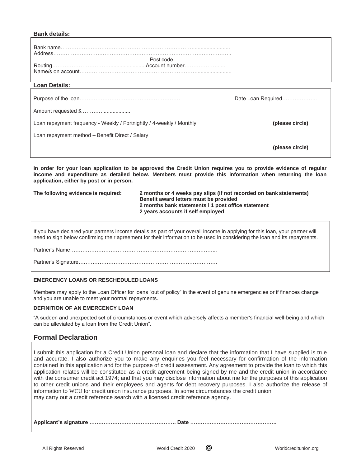#### **Bank details:**

| <b>Loan Details:</b>                                                 |                    |
|----------------------------------------------------------------------|--------------------|
|                                                                      | Date Loan Required |
| Loan repayment frequency - Weekly / Fortnightly / 4-weekly / Monthly | (please circle)    |
| Loan repayment method - Benefit Direct / Salary                      |                    |
|                                                                      | (please circle)    |

**In order for your loan application to be approved the Credit Union requires you to provide evidence of regular income and expenditure as detailed below. Members must provide this information when returning the loan application, either by post or in person.**

| The following evidence is required: | 2 months or 4 weeks pay slips (if not recorded on bank statements)<br>Benefit award letters must be provided<br>2 months bank statements 11 post office statement<br>2 years accounts if self employed |
|-------------------------------------|--------------------------------------------------------------------------------------------------------------------------------------------------------------------------------------------------------|
|                                     |                                                                                                                                                                                                        |

If you have declared your partners income details as part of your overall income in applying for this loan, your partner will need to sign below confirming their agreement for their information to be used in considering the loan and its repayments.

Partner's Name………………………………………………………………………...

Partner's Signature…………………………………………………………………….

#### **EMERCENCY LOANS OR RESCHEDULEDLOANS**

Members may apply to the Loan Officer for loans "out of policy" in the event of genuine emergencies or if finances change and you are unable to meet your normal repayments.

#### **DEFINITION OF AN EMERCENCY LOAN**

"A sudden and unexpected set of circumstances or event which adversely affects a member's financial well-being and which can be alleviated by a loan from the Credit Union".

### **Formal Declaration**

I submit this application for a Credit Union personal loan and declare that the information that I have supplied is true and accurate. I also authorize you to make any enquiries you feel necessary for confirmation of the information contained in this application and for the purpose of credit assessment. Any agreement to provide the loan to which this application relates will be constituted as a credit agreement being signed by me and the credit union in accordance with the consumer credit act 1974; and that you may disclose information about me for the purposes of this application to other credit unions and their employees and agents for debt recovery purposes. I also authorize the release of information to WCU for credit union insurance purposes. In some circumstances the credit union may carry out a credit reference search with a licensed credit reference agency.

**Applicant¹s signature …………………………………………. Date ………………………………………….**